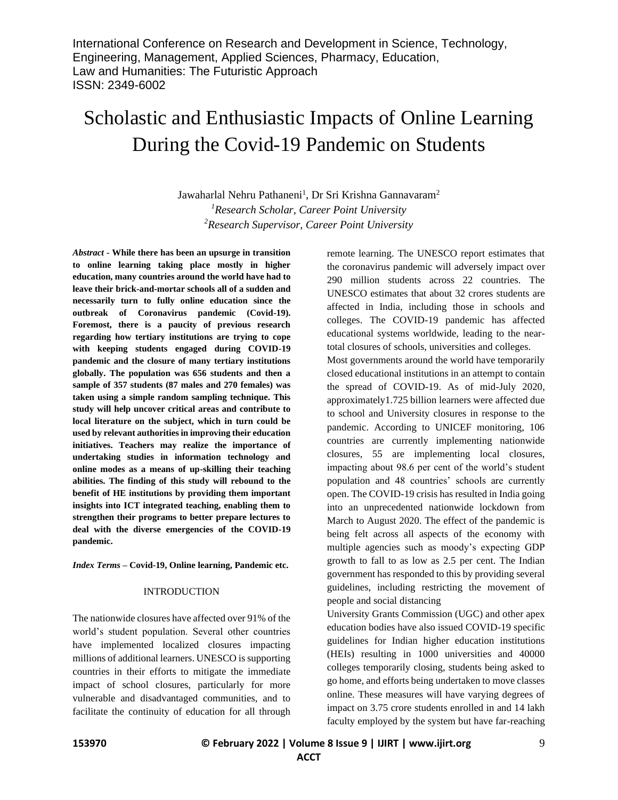# Scholastic and Enthusiastic Impacts of Online Learning During the Covid-19 Pandemic on Students

Jawaharlal Nehru Pathaneni<sup>1</sup>, Dr Sri Krishna Gannavaram<sup>2</sup> *<sup>1</sup>Research Scholar, Career Point University <sup>2</sup>Research Supervisor, Career Point University*

*Abstract -* **While there has been an upsurge in transition to online learning taking place mostly in higher education, many countries around the world have had to leave their brick-and-mortar schools all of a sudden and necessarily turn to fully online education since the outbreak of Coronavirus pandemic (Covid-19). Foremost, there is a paucity of previous research regarding how tertiary institutions are trying to cope with keeping students engaged during COVID-19 pandemic and the closure of many tertiary institutions globally. The population was 656 students and then a sample of 357 students (87 males and 270 females) was taken using a simple random sampling technique. This study will help uncover critical areas and contribute to local literature on the subject, which in turn could be used by relevant authorities in improving their education initiatives. Teachers may realize the importance of undertaking studies in information technology and online modes as a means of up-skilling their teaching abilities. The finding of this study will rebound to the benefit of HE institutions by providing them important insights into ICT integrated teaching, enabling them to strengthen their programs to better prepare lectures to deal with the diverse emergencies of the COVID-19 pandemic.**

*Index Terms –* **Covid-19, Online learning, Pandemic etc.**

#### INTRODUCTION

The nationwide closures have affected over 91% of the world's student population. Several other countries have implemented localized closures impacting millions of additional learners. UNESCO is supporting countries in their efforts to mitigate the immediate impact of school closures, particularly for more vulnerable and disadvantaged communities, and to facilitate the continuity of education for all through remote learning. The UNESCO report estimates that the coronavirus pandemic will adversely impact over 290 million students across 22 countries. The UNESCO estimates that about 32 crores students are affected in India, including those in schools and colleges. The COVID-19 pandemic has affected educational systems worldwide, leading to the neartotal closures of schools, universities and colleges.

Most governments around the world have temporarily closed educational institutions in an attempt to contain the spread of COVID-19. As of mid-July 2020, approximately1.725 billion learners were affected due to school and University closures in response to the pandemic. According to UNICEF monitoring, 106 countries are currently implementing nationwide closures, 55 are implementing local closures, impacting about 98.6 per cent of the world's student population and 48 countries' schools are currently open. The COVID-19 crisis has resulted in India going into an unprecedented nationwide lockdown from March to August 2020. The effect of the pandemic is being felt across all aspects of the economy with multiple agencies such as moody's expecting GDP growth to fall to as low as 2.5 per cent. The Indian government has responded to this by providing several guidelines, including restricting the movement of people and social distancing

University Grants Commission (UGC) and other apex education bodies have also issued COVID-19 specific guidelines for Indian higher education institutions (HEIs) resulting in 1000 universities and 40000 colleges temporarily closing, students being asked to go home, and efforts being undertaken to move classes online. These measures will have varying degrees of impact on 3.75 crore students enrolled in and 14 lakh faculty employed by the system but have far-reaching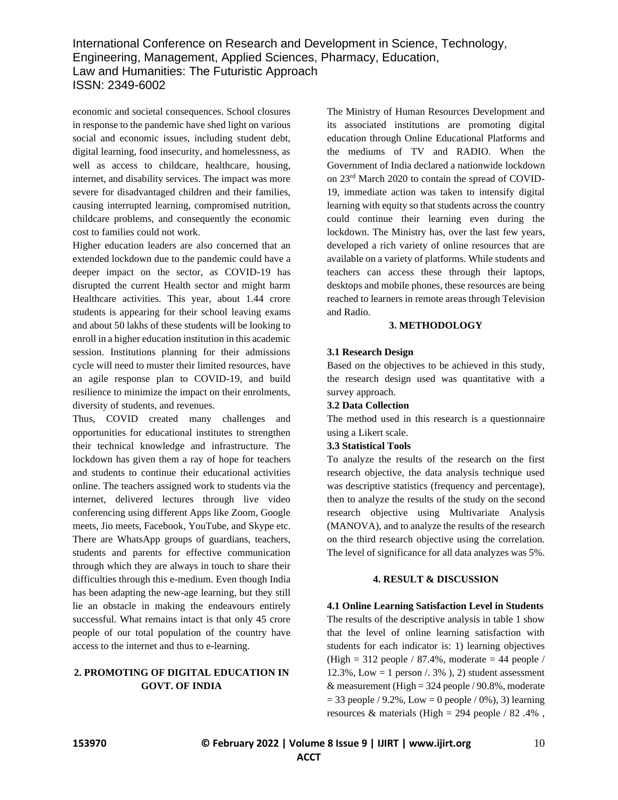economic and societal consequences. School closures in response to the pandemic have shed light on various social and economic issues, including student debt, digital learning, food insecurity, and homelessness, as well as access to childcare, healthcare, housing, internet, and disability services. The impact was more severe for disadvantaged children and their families, causing interrupted learning, compromised nutrition, childcare problems, and consequently the economic cost to families could not work.

Higher education leaders are also concerned that an extended lockdown due to the pandemic could have a deeper impact on the sector, as COVID-19 has disrupted the current Health sector and might harm Healthcare activities. This year, about 1.44 crore students is appearing for their school leaving exams and about 50 lakhs of these students will be looking to enroll in a higher education institution in this academic session. Institutions planning for their admissions cycle will need to muster their limited resources, have an agile response plan to COVID-19, and build resilience to minimize the impact on their enrolments, diversity of students, and revenues.

Thus, COVID created many challenges and opportunities for educational institutes to strengthen their technical knowledge and infrastructure. The lockdown has given them a ray of hope for teachers and students to continue their educational activities online. The teachers assigned work to students via the internet, delivered lectures through live video conferencing using different Apps like Zoom, Google meets, Jio meets, Facebook, YouTube, and Skype etc. There are WhatsApp groups of guardians, teachers, students and parents for effective communication through which they are always in touch to share their difficulties through this e-medium. Even though India has been adapting the new-age learning, but they still lie an obstacle in making the endeavours entirely successful. What remains intact is that only 45 crore people of our total population of the country have access to the internet and thus to e-learning.

# **2. PROMOTING OF DIGITAL EDUCATION IN GOVT. OF INDIA**

The Ministry of Human Resources Development and its associated institutions are promoting digital education through Online Educational Platforms and the mediums of TV and RADIO. When the Government of India declared a nationwide lockdown on 23rd March 2020 to contain the spread of COVID-19, immediate action was taken to intensify digital learning with equity so that students across the country could continue their learning even during the lockdown. The Ministry has, over the last few years, developed a rich variety of online resources that are available on a variety of platforms. While students and teachers can access these through their laptops, desktops and mobile phones, these resources are being reached to learners in remote areas through Television and Radio.

# **3. METHODOLOGY**

#### **3.1 Research Design**

Based on the objectives to be achieved in this study, the research design used was quantitative with a survey approach.

# **3.2 Data Collection**

The method used in this research is a questionnaire using a Likert scale.

# **3.3 Statistical Tools**

To analyze the results of the research on the first research objective, the data analysis technique used was descriptive statistics (frequency and percentage), then to analyze the results of the study on the second research objective using Multivariate Analysis (MANOVA), and to analyze the results of the research on the third research objective using the correlation. The level of significance for all data analyzes was 5%.

# **4. RESULT & DISCUSSION**

#### **4.1 Online Learning Satisfaction Level in Students**

The results of the descriptive analysis in table 1 show that the level of online learning satisfaction with students for each indicator is: 1) learning objectives (High = 312 people / 87.4%, moderate = 44 people / 12.3%, Low = 1 person  $\ell$ . 3% ), 2) student assessment & measurement (High =  $324$  people /  $90.8\%$ , moderate  $= 33$  people / 9.2%, Low  $= 0$  people / 0%), 3) learning resources & materials (High = 294 people / 82.4%,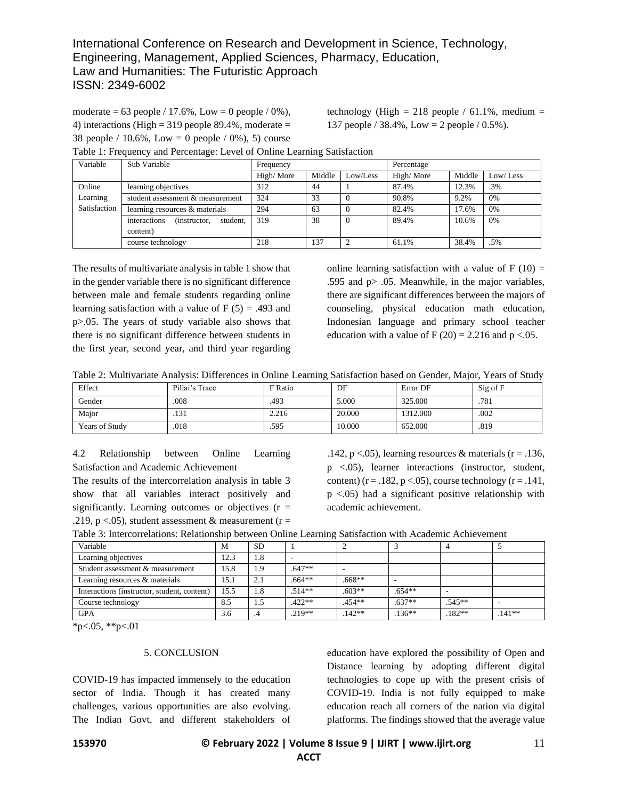moderate = 63 people / 17.6%, Low = 0 people / 0%), 4) interactions (High  $=$  319 people 89.4%, moderate  $=$ 38 people /  $10.6\%$ , Low = 0 people / 0%), 5) course technology (High = 218 people /  $61.1\%$ , medium = 137 people / 38.4%, Low = 2 people / 0.5%).

| Variable     | Sub Variable                              | Frequency |        |          | Percentage |        |          |
|--------------|-------------------------------------------|-----------|--------|----------|------------|--------|----------|
|              |                                           | High/More | Middle | Low/Less | High/More  | Middle | Low/Less |
| Online       | learning objectives                       | 312       | 44     |          | 87.4%      | 12.3%  | .3%      |
| Learning     | student assessment & measurement          | 324       | 33     |          | 90.8%      | 9.2%   | 0%       |
| Satisfaction | learning resources & materials            | 294       | 63     |          | 82.4%      | 17.6%  | 0%       |
|              | interactions<br>student.<br>(instructor.) | 319       | 38     |          | 89.4%      | 10.6%  | 0%       |
|              | content)                                  |           |        |          |            |        |          |
|              | course technology                         | 218       | 137    |          | 61.1%      | 38.4%  | .5%      |

Table 1: Frequency and Percentage: Level of Online Learning Satisfaction

The results of multivariate analysis in table 1 show that in the gender variable there is no significant difference between male and female students regarding online learning satisfaction with a value of  $F(5) = .493$  and p>.05. The years of study variable also shows that there is no significant difference between students in the first year, second year, and third year regarding

online learning satisfaction with a value of  $F(10) =$ .595 and  $p > .05$ . Meanwhile, in the major variables, there are significant differences between the majors of counseling, physical education math education, Indonesian language and primary school teacher education with a value of F (20) = 2.216 and  $p < 0.05$ .

Table 2: Multivariate Analysis: Differences in Online Learning Satisfaction based on Gender, Major, Years of Study

| Effect                | Pillai's Trace | F Ratio | DF     | Error DF | Sig of F |
|-----------------------|----------------|---------|--------|----------|----------|
| Gender                | .008           | .493    | 5.000  | 325.000  | .781     |
| Maior                 | .131           | 2.216   | 20,000 | 1312.000 | .002     |
| <b>Years of Study</b> | .018           | .595    | 10.000 | 652.000  | .819     |

4.2 Relationship between Online Learning Satisfaction and Academic Achievement

The results of the intercorrelation analysis in table 3 show that all variables interact positively and significantly. Learning outcomes or objectives  $(r =$ .219, p <.05), student assessment  $&$  measurement (r =

.142, p <.05), learning resources & materials ( $r = .136$ , p <.05), learner interactions (instructor, student, content) ( $r = .182$ ,  $p < .05$ ), course technology ( $r = .141$ , p <.05) had a significant positive relationship with academic achievement.

| Table 3: Intercorrelations: Relationship between Online Learning Satisfaction with Academic Achievement |  |  |
|---------------------------------------------------------------------------------------------------------|--|--|
|                                                                                                         |  |  |

| Variable                                    | М    | <b>SD</b> |          |          |          |          |        |
|---------------------------------------------|------|-----------|----------|----------|----------|----------|--------|
| Learning objectives                         | 12.3 | 1.8       |          |          |          |          |        |
| Student assessment & measurement            | 15.8 | I.9       | $.647**$ |          |          |          |        |
| Learning resources & materials              | 15.1 | 2.1       | $.664**$ | $.668**$ |          |          |        |
| Interactions (instructor, student, content) | 15.5 | 1.8       | $.514**$ | $.603**$ | $.654**$ |          |        |
| Course technology                           | 8.5  | 1.J       | $.422**$ | $.454**$ | $.637**$ | $.545**$ | $\sim$ |
| <b>GPA</b>                                  | 3.6  | .4        | $.219**$ | $.142**$ | $.136**$ | $.182**$ | .141** |

 $*p<.05$ ,  $*p<.01$ 

#### 5. CONCLUSION

COVID-19 has impacted immensely to the education sector of India. Though it has created many challenges, various opportunities are also evolving. The Indian Govt. and different stakeholders of education have explored the possibility of Open and Distance learning by adopting different digital technologies to cope up with the present crisis of COVID-19. India is not fully equipped to make education reach all corners of the nation via digital platforms. The findings showed that the average value